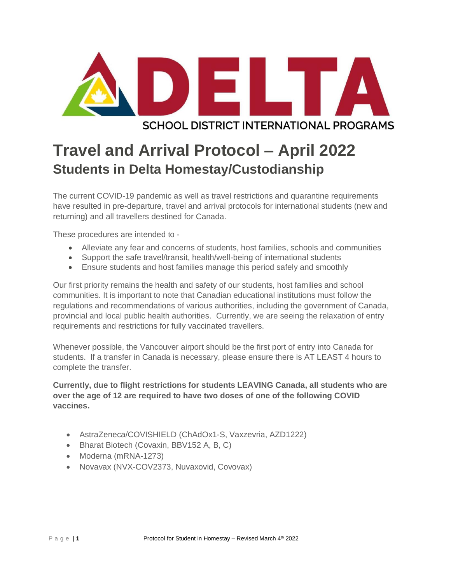

# **SCHOOL DISTRICT INTERNATIONAL PROGRAMS**

# **Travel and Arrival Protocol – April 2022 Students in Delta Homestay/Custodianship**

The current COVID-19 pandemic as well as travel restrictions and quarantine requirements have resulted in pre-departure, travel and arrival protocols for international students (new and returning) and all travellers destined for Canada.

These procedures are intended to -

- Alleviate any fear and concerns of students, host families, schools and communities
- Support the safe travel/transit, health/well-being of international students
- Ensure students and host families manage this period safely and smoothly

Our first priority remains the health and safety of our students, host families and school communities. It is important to note that Canadian educational institutions must follow the regulations and recommendations of various authorities, including the government of Canada, provincial and local public health authorities. Currently, we are seeing the relaxation of entry requirements and restrictions for fully vaccinated travellers.

Whenever possible, the Vancouver airport should be the first port of entry into Canada for students. If a transfer in Canada is necessary, please ensure there is AT LEAST 4 hours to complete the transfer.

**Currently, due to flight restrictions for students LEAVING Canada, all students who are over the age of 12 are required to have two doses of one of the following COVID vaccines.** 

- AstraZeneca/COVISHIELD (ChAdOx1-S, Vaxzevria, AZD1222)
- Bharat Biotech (Covaxin, BBV152 A, B, C)
- Moderna (mRNA-1273)
- Novavax (NVX-COV2373, Nuvaxovid, Covovax)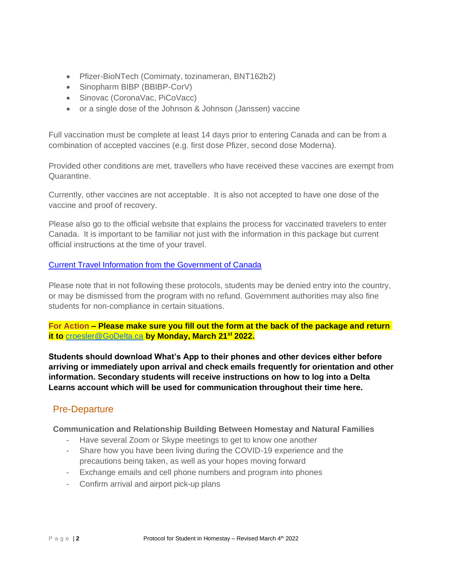- Pfizer-BioNTech (Comirnaty, tozinameran, BNT162b2)
- Sinopharm BIBP (BBIBP-CorV)
- Sinovac (CoronaVac, PiCoVacc)
- or a single dose of the Johnson & Johnson (Janssen) vaccine

Full vaccination must be complete at least 14 days prior to entering Canada and can be from a combination of accepted vaccines (e.g. first dose Pfizer, second dose Moderna).

Provided other conditions are met, travellers who have received these vaccines are exempt from Quarantine.

Currently, other vaccines are not acceptable. It is also not accepted to have one dose of the vaccine and proof of recovery.

Please also go to the official website that explains the process for vaccinated travelers to enter Canada. It is important to be familiar not just with the information in this package but current official instructions at the time of your travel.

# [Current Travel Information from the Government of Canada](https://travel.gc.ca/travel-covid/travel-restrictions/covid-vaccinated-travellers-entering-canada#pre-entry-testing)

Please note that in not following these protocols, students may be denied entry into the country, or may be dismissed from the program with no refund. Government authorities may also fine students for non-compliance in certain situations.

**For Action – Please make sure you fill out the form at the back of the package and return it to** [croesler@GoDelta.ca](mailto:croesler@GoDelta.ca) **by Monday, March 21st 2022.**

**Students should download What's App to their phones and other devices either before arriving or immediately upon arrival and check emails frequently for orientation and other information. Secondary students will receive instructions on how to log into a Delta Learns account which will be used for communication throughout their time here.**

# Pre-Departure

**Communication and Relationship Building Between Homestay and Natural Families**

- Have several Zoom or Skype meetings to get to know one another
- Share how you have been living during the COVID-19 experience and the precautions being taken, as well as your hopes moving forward
- Exchange emails and cell phone numbers and program into phones
- Confirm arrival and airport pick-up plans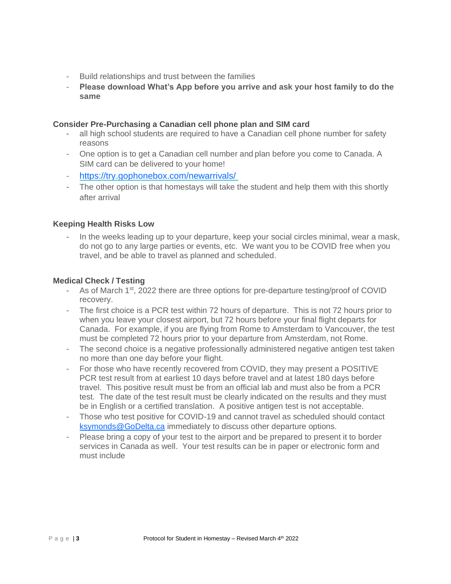- Build relationships and trust between the families
- **Please download What's App before you arrive and ask your host family to do the same**

## **Consider Pre-Purchasing a Canadian cell phone plan and SIM card**

- all high school students are required to have a Canadian cell phone number for safety reasons
- One option is to get a Canadian cell number and plan before you come to Canada. A SIM card can be delivered to your home!
- <https://try.gophonebox.com/newarrivals/>
- The other option is that homestays will take the student and help them with this shortly after arrival

#### **Keeping Health Risks Low**

In the weeks leading up to your departure, keep your social circles minimal, wear a mask, do not go to any large parties or events, etc. We want you to be COVID free when you travel, and be able to travel as planned and scheduled.

#### **Medical Check / Testing**

- As of March 1<sup>st</sup>, 2022 there are three options for pre-departure testing/proof of COVID recovery.
- The first choice is a PCR test within 72 hours of departure. This is not 72 hours prior to when you leave your closest airport, but 72 hours before your final flight departs for Canada. For example, if you are flying from Rome to Amsterdam to Vancouver, the test must be completed 72 hours prior to your departure from Amsterdam, not Rome.
- The second choice is a negative professionally administered negative antigen test taken no more than one day before your flight.
- For those who have recently recovered from COVID, they may present a POSITIVE PCR test result from at earliest 10 days before travel and at latest 180 days before travel. This positive result must be from an official lab and must also be from a PCR test. The date of the test result must be clearly indicated on the results and they must be in English or a certified translation. A positive antigen test is not acceptable.
- Those who test positive for COVID-19 and cannot travel as scheduled should contact [ksymonds@GoDelta.ca](mailto:ksymonds@GoDelta.ca) immediately to discuss other departure options.
- Please bring a copy of your test to the airport and be prepared to present it to border services in Canada as well. Your test results can be in paper or electronic form and must include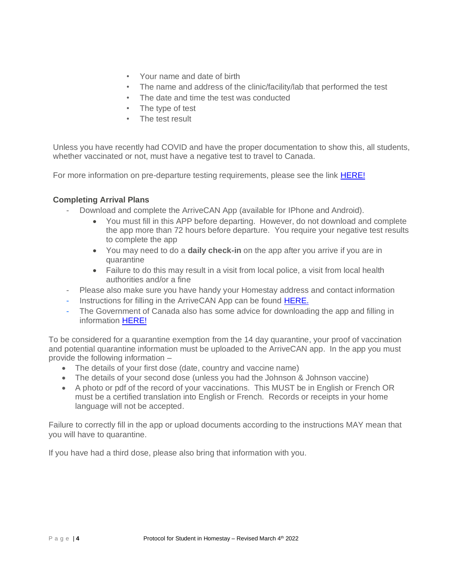- Your name and date of birth
- The name and address of the clinic/facility/lab that performed the test
- The date and time the test was conducted
- The type of test
- The test result

Unless you have recently had COVID and have the proper documentation to show this, all students, whether vaccinated or not, must have a negative test to travel to Canada.

For more information on pre-departure testing requirements, please see the link [HERE!](https://travel.gc.ca/travel-covid/travel-restrictions/covid-vaccinated-travellers-entering-canada#pre-entry-testing)

## **Completing Arrival Plans**

- Download and complete the ArriveCAN App (available for IPhone and Android).
	- You must fill in this APP before departing. However, do not download and complete the app more than 72 hours before departure. You require your negative test results to complete the app
	- You may need to do a **daily check-in** on the app after you arrive if you are in quarantine
	- Failure to do this may result in a visit from local police, a visit from local health authorities and/or a fine
- Please also make sure you have handy your Homestay address and contact information
- Instructions for filling in the ArriveCAN App can be found [HERE.](https://www.godelta.ca/content/student_arrivals)
- The Government of Canada also has some advice for downloading the app and filling in information [HERE!](https://www.canada.ca/en/public-health/services/diseases/coronavirus-disease-covid-19/arrivecan/help.html#a2)

To be considered for a quarantine exemption from the 14 day quarantine, your proof of vaccination and potential quarantine information must be uploaded to the ArriveCAN app. In the app you must provide the following information –

- The details of your first dose (date, country and vaccine name)
- The details of your second dose (unless you had the Johnson & Johnson vaccine)
- A photo or pdf of the record of your vaccinations. This MUST be in English or French OR must be a certified translation into English or French. Records or receipts in your home language will not be accepted.

Failure to correctly fill in the app or upload documents according to the instructions MAY mean that you will have to quarantine.

If you have had a third dose, please also bring that information with you.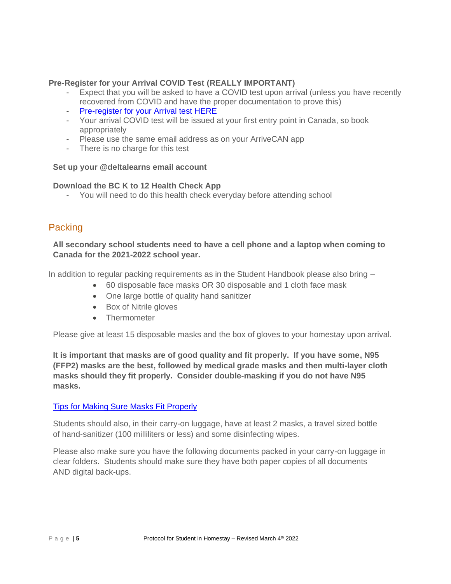# **Pre-Register for your Arrival COVID Test (REALLY IMPORTANT)**

- Expect that you will be asked to have a COVID test upon arrival (unless you have recently recovered from COVID and have the proper documentation to prove this)
- [Pre-register for your Arrival test HERE](https://www.lifelabs.com/flyclear/onarrival/?myProvince=bc)
- Your arrival COVID test will be issued at your first entry point in Canada, so book appropriately
- Please use the same email address as on your ArriveCAN app
- There is no charge for this test

#### **Set up your @deltalearns email account**

#### **Download the BC K to 12 Health Check App**

- You will need to do this health check everyday before attending school

# Packing

**All secondary school students need to have a cell phone and a laptop when coming to Canada for the 2021-2022 school year.**

In addition to regular packing requirements as in the Student Handbook please also bring –

- 60 disposable face masks OR 30 disposable and 1 cloth face mask
- One large bottle of quality hand sanitizer
- Box of Nitrile gloves
- Thermometer

Please give at least 15 disposable masks and the box of gloves to your homestay upon arrival.

**It is important that masks are of good quality and fit properly. If you have some, N95 (FFP2) masks are the best, followed by medical grade masks and then multi-layer cloth masks should they fit properly. Consider double-masking if you do not have N95 masks.**

## [Tips for Making Sure Masks Fit Properly](https://www.canada.ca/content/dam/phac-aspc/documents/services/publications/diseases-conditions/covid-19-mask-fit-properly/covid-19-mask-fit-properly-en.pdf)

Students should also, in their carry-on luggage, have at least 2 masks, a travel sized bottle of hand-sanitizer (100 milliliters or less) and some disinfecting wipes.

Please also make sure you have the following documents packed in your carry-on luggage in clear folders. Students should make sure they have both paper copies of all documents AND digital back-ups.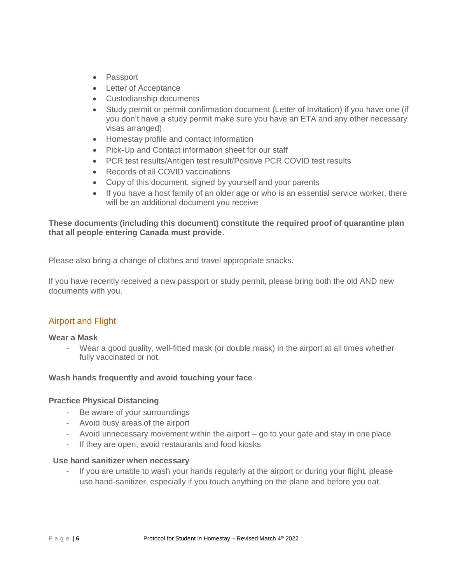- Passport
- Letter of Acceptance
- Custodianship documents
- Study permit or permit confirmation document (Letter of Invitation) if you have one (if you don't have a study permit make sure you have an ETA and any other necessary visas arranged)
- Homestay profile and contact information
- Pick-Up and Contact information sheet for our staff
- PCR test results/Antigen test result/Positive PCR COVID test results
- Records of all COVID vaccinations
- Copy of this document, signed by yourself and your parents
- If you have a host family of an older age or who is an essential service worker, there will be an additional document you receive

## **These documents (including this document) constitute the required proof of quarantine plan that all people entering Canada must provide.**

Please also bring a change of clothes and travel appropriate snacks.

If you have recently received a new passport or study permit, please bring both the old AND new documents with you.

# Airport and Flight

#### **Wear a Mask**

- Wear a good quality, well-fitted mask (or double mask) in the airport at all times whether fully vaccinated or not.

#### **Wash hands frequently and avoid touching your face**

#### **Practice Physical Distancing**

- Be aware of your surroundings
- Avoid busy areas of the airport
- Avoid unnecessary movement within the airport go to your gate and stay in one place
- If they are open, avoid restaurants and food kiosks

#### **Use hand sanitizer when necessary**

If you are unable to wash your hands regularly at the airport or during your flight, please use hand-sanitizer, especially if you touch anything on the plane and before you eat.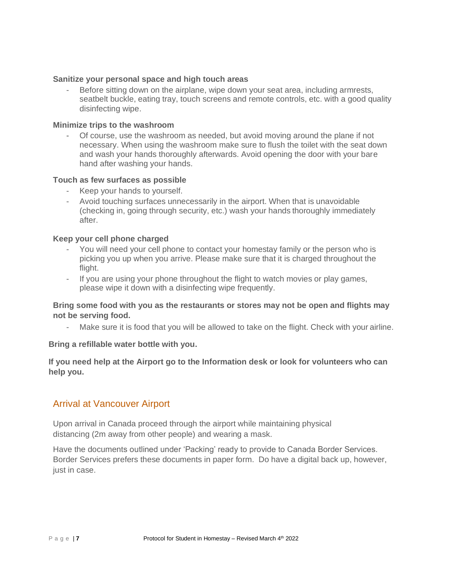#### **Sanitize your personal space and high touch areas**

Before sitting down on the airplane, wipe down your seat area, including armrests, seatbelt buckle, eating tray, touch screens and remote controls, etc. with a good quality disinfecting wipe.

#### **Minimize trips to the washroom**

- Of course, use the washroom as needed, but avoid moving around the plane if not necessary. When using the washroom make sure to flush the toilet with the seat down and wash your hands thoroughly afterwards. Avoid opening the door with your bare hand after washing your hands.

#### **Touch as few surfaces as possible**

- Keep your hands to yourself.
- Avoid touching surfaces unnecessarily in the airport. When that is unavoidable (checking in, going through security, etc.) wash your hands thoroughly immediately after.

#### **Keep your cell phone charged**

- You will need your cell phone to contact your homestay family or the person who is picking you up when you arrive. Please make sure that it is charged throughout the flight.
- If you are using your phone throughout the flight to watch movies or play games, please wipe it down with a disinfecting wipe frequently.

## **Bring some food with you as the restaurants or stores may not be open and flights may not be serving food.**

Make sure it is food that you will be allowed to take on the flight. Check with your airline.

#### **Bring a refillable water bottle with you.**

# **If you need help at the Airport go to the Information desk or look for volunteers who can help you.**

# Arrival at Vancouver Airport

Upon arrival in Canada proceed through the airport while maintaining physical distancing (2m away from other people) and wearing a mask.

Have the documents outlined under 'Packing' ready to provide to Canada Border Services. Border Services prefers these documents in paper form. Do have a digital back up, however, just in case.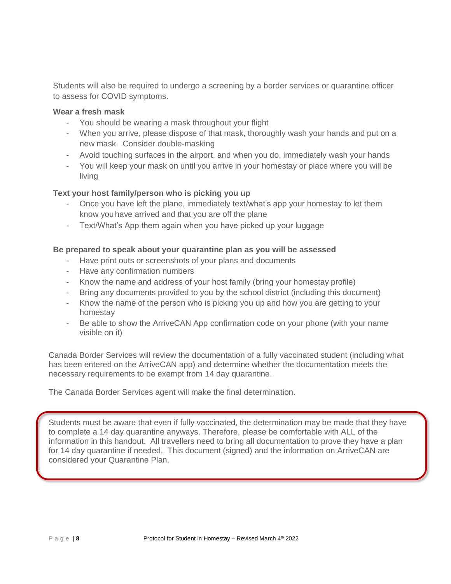Students will also be required to undergo a screening by a border services or quarantine officer to assess for COVID symptoms.

#### **Wear a fresh mask**

- You should be wearing a mask throughout your flight
- When you arrive, please dispose of that mask, thoroughly wash your hands and put on a new mask. Consider double-masking
- Avoid touching surfaces in the airport, and when you do, immediately wash your hands
- You will keep your mask on until you arrive in your homestay or place where you will be living

# **Text your host family/person who is picking you up**

- Once you have left the plane, immediately text/what's app your homestay to let them know youhave arrived and that you are off the plane
- Text/What's App them again when you have picked up your luggage

# **Be prepared to speak about your quarantine plan as you will be assessed**

- Have print outs or screenshots of your plans and documents
- Have any confirmation numbers
- Know the name and address of your host family (bring your homestay profile)
- Bring any documents provided to you by the school district (including this document)
- Know the name of the person who is picking you up and how you are getting to your homestay
- Be able to show the ArriveCAN App confirmation code on your phone (with your name visible on it)

Canada Border Services will review the documentation of a fully vaccinated student (including what has been entered on the ArriveCAN app) and determine whether the documentation meets the necessary requirements to be exempt from 14 day quarantine.

The Canada Border Services agent will make the final determination.

Students must be aware that even if fully vaccinated, the determination may be made that they have to complete a 14 day quarantine anyways. Therefore, please be comfortable with ALL of the information in this handout. All travellers need to bring all documentation to prove they have a plan for 14 day quarantine if needed. This document (signed) and the information on ArriveCAN are considered your Quarantine Plan.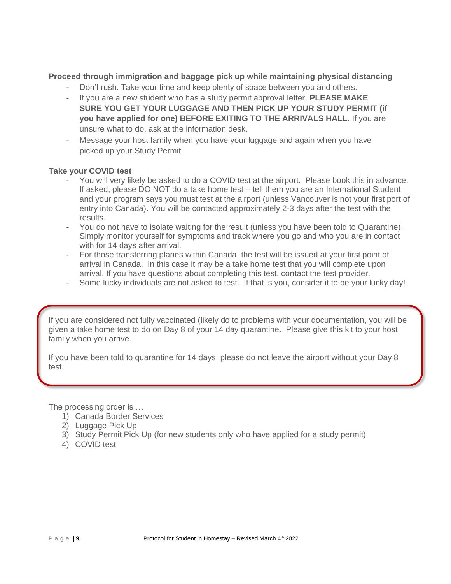# **Proceed through immigration and baggage pick up while maintaining physical distancing**

- Don't rush. Take your time and keep plenty of space between you and others.
- If you are a new student who has a study permit approval letter, **PLEASE MAKE SURE YOU GET YOUR LUGGAGE AND THEN PICK UP YOUR STUDY PERMIT (if you have applied for one) BEFORE EXITING TO THE ARRIVALS HALL.** If you are unsure what to do, ask at the information desk.
- Message your host family when you have your luggage and again when you have picked up your Study Permit

## **Take your COVID test**

- You will very likely be asked to do a COVID test at the airport. Please book this in advance. If asked, please DO NOT do a take home test – tell them you are an International Student and your program says you must test at the airport (unless Vancouver is not your first port of entry into Canada). You will be contacted approximately 2-3 days after the test with the results.
- You do not have to isolate waiting for the result (unless you have been told to Quarantine). Simply monitor yourself for symptoms and track where you go and who you are in contact with for 14 days after arrival.
- For those transferring planes within Canada, the test will be issued at your first point of arrival in Canada. In this case it may be a take home test that you will complete upon arrival. If you have questions about completing this test, contact the test provider.
- Some lucky individuals are not asked to test. If that is you, consider it to be your lucky day!

If you are considered not fully vaccinated (likely do to problems with your documentation, you will be given a take home test to do on Day 8 of your 14 day quarantine. Please give this kit to your host family when you arrive.

If you have been told to quarantine for 14 days, please do not leave the airport without your Day 8 test.

The processing order is …

- 1) Canada Border Services
- 2) Luggage Pick Up
- 3) Study Permit Pick Up (for new students only who have applied for a study permit)
- 4) COVID test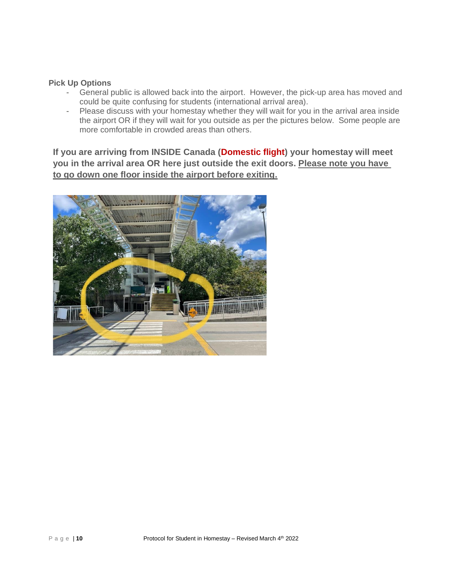## **Pick Up Options**

- General public is allowed back into the airport. However, the pick-up area has moved and could be quite confusing for students (international arrival area).
- Please discuss with your homestay whether they will wait for you in the arrival area inside the airport OR if they will wait for you outside as per the pictures below. Some people are more comfortable in crowded areas than others.

**If you are arriving from INSIDE Canada (Domestic flight) your homestay will meet you in the arrival area OR here just outside the exit doors. Please note you have to go down one floor inside the airport before exiting.**

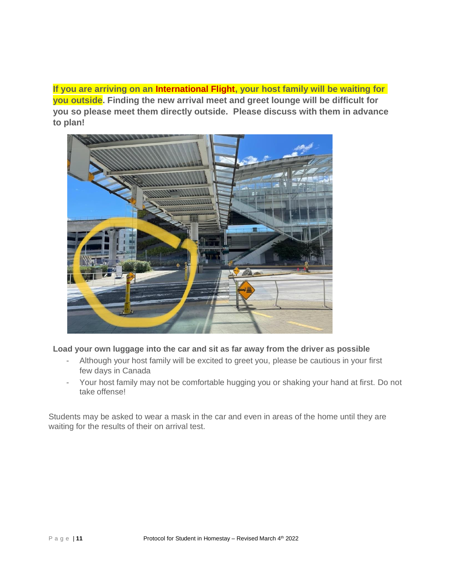**If you are arriving on an International Flight, your host family will be waiting for you outside. Finding the new arrival meet and greet lounge will be difficult for you so please meet them directly outside. Please discuss with them in advance to plan!** 



**Load your own luggage into the car and sit as far away from the driver as possible**

- Although your host family will be excited to greet you, please be cautious in your first few days in Canada
- Your host family may not be comfortable hugging you or shaking your hand at first. Do not take offense!

Students may be asked to wear a mask in the car and even in areas of the home until they are waiting for the results of their on arrival test.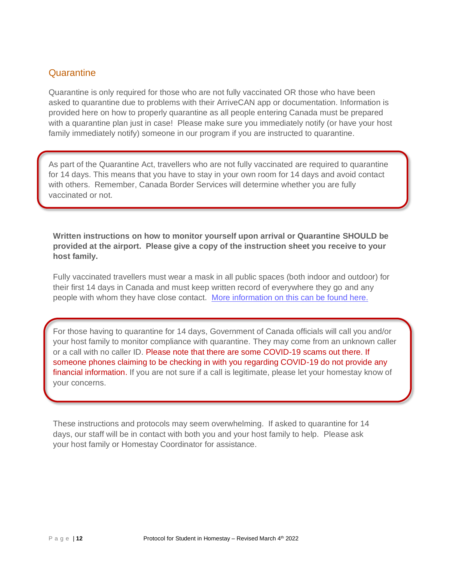# **Quarantine**

Quarantine is only required for those who are not fully vaccinated OR those who have been asked to quarantine due to problems with their ArriveCAN app or documentation. Information is provided here on how to properly quarantine as all people entering Canada must be prepared with a quarantine plan just in case! Please make sure you immediately notify (or have your host family immediately notify) someone in our program if you are instructed to quarantine.

As part of the Quarantine Act, travellers who are not fully vaccinated are required to quarantine for 14 days. This means that you have to stay in your own room for 14 days and avoid contact with others. Remember, Canada Border Services will determine whether you are fully vaccinated or not.

**Written instructions on how to monitor yourself upon arrival or Quarantine SHOULD be provided at the airport. Please give a copy of the instruction sheet you receive to your host family.**

Fully vaccinated travellers must wear a mask in all public spaces (both indoor and outdoor) for their first 14 days in Canada and must keep written record of everywhere they go and any people with whom they have close contact. [More information on this can be found here.](https://travel.gc.ca/travel-covid/travel-restrictions/covid-vaccinated-travellers-entering-canada#airport-test-providers)

For those having to quarantine for 14 days, Government of Canada officials will call you and/or your host family to monitor compliance with quarantine. They may come from an unknown caller or a call with no caller ID. Please note that there are some COVID-19 scams out there. If someone phones claiming to be checking in with you regarding COVID-19 do not provide any financial information. If you are not sure if a call is legitimate, please let your homestay know of your concerns.

These instructions and protocols may seem overwhelming. If asked to quarantine for 14 days, our staff will be in contact with both you and your host family to help. Please ask your host family or Homestay Coordinator for assistance.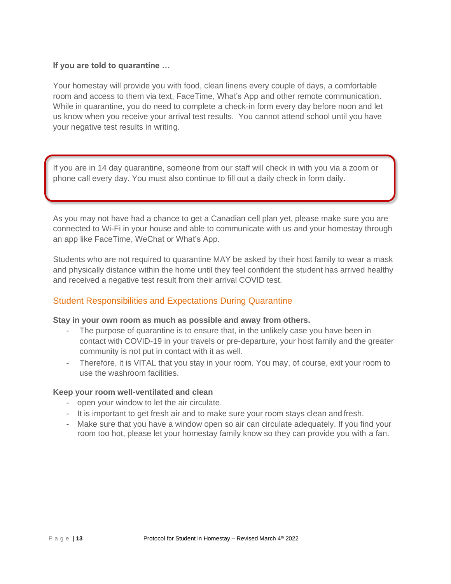# **If you are told to quarantine …**

Your homestay will provide you with food, clean linens every couple of days, a comfortable room and access to them via text, FaceTime, What's App and other remote communication. While in quarantine, you do need to complete a check-in form every day before noon and let us know when you receive your arrival test results. You cannot attend school until you have your negative test results in writing.

If you are in 14 day quarantine, someone from our staff will check in with you via a zoom or phone call every day. You must also continue to fill out a daily check in form daily.

As you may not have had a chance to get a Canadian cell plan yet, please make sure you are connected to Wi-Fi in your house and able to communicate with us and your homestay through an app like FaceTime, WeChat or What's App.

Students who are not required to quarantine MAY be asked by their host family to wear a mask and physically distance within the home until they feel confident the student has arrived healthy and received a negative test result from their arrival COVID test.

# Student Responsibilities and Expectations During Quarantine

## **Stay in your own room as much as possible and away from others.**

- The purpose of quarantine is to ensure that, in the unlikely case you have been in contact with COVID-19 in your travels or pre-departure, your host family and the greater community is not put in contact with it as well.
- Therefore, it is VITAL that you stay in your room. You may, of course, exit your room to use the washroom facilities.

## **Keep your room well-ventilated and clean**

- open your window to let the air circulate.
- It is important to get fresh air and to make sure your room stays clean and fresh.
- Make sure that you have a window open so air can circulate adequately. If you find your room too hot, please let your homestay family know so they can provide you with a fan.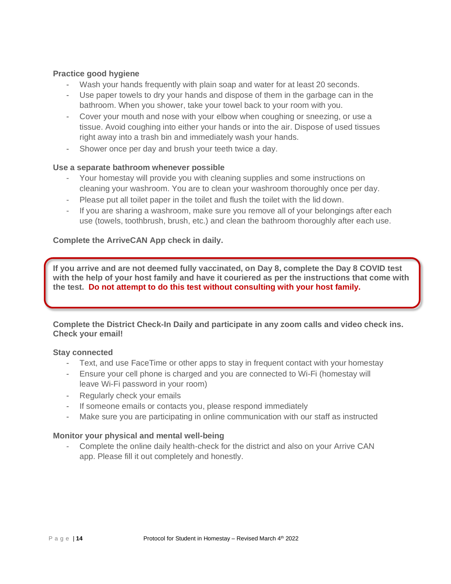## **Practice good hygiene**

- Wash your hands frequently with plain soap and water for at least 20 seconds.
- Use paper towels to dry your hands and dispose of them in the garbage can in the bathroom. When you shower, take your towel back to your room with you.
- Cover your mouth and nose with your elbow when coughing or sneezing, or use a tissue. Avoid coughing into either your hands or into the air. Dispose of used tissues right away into a trash bin and immediately wash your hands.
- Shower once per day and brush your teeth twice a day.

# **Use a separate bathroom whenever possible**

- Your homestay will provide you with cleaning supplies and some instructions on cleaning your washroom. You are to clean your washroom thoroughly once per day.
- Please put all toilet paper in the toilet and flush the toilet with the lid down.
- If you are sharing a washroom, make sure you remove all of your belongings after each use (towels, toothbrush, brush, etc.) and clean the bathroom thoroughly after each use.

# **Complete the ArriveCAN App check in daily.**

**If you arrive and are not deemed fully vaccinated, on Day 8, complete the Day 8 COVID test with the help of your host family and have it couriered as per the instructions that come with the test. Do not attempt to do this test without consulting with your host family.**

**Complete the District Check-In Daily and participate in any zoom calls and video check ins. Check your email!** 

## **Stay connected**

- Text, and use FaceTime or other apps to stay in frequent contact with your homestay
- Ensure your cell phone is charged and you are connected to Wi-Fi (homestay will leave Wi-Fi password in your room)
- Regularly check your emails
- If someone emails or contacts you, please respond immediately
- Make sure you are participating in online communication with our staff as instructed

## **Monitor your physical and mental well-being**

- Complete the online daily health-check for the district and also on your Arrive CAN app. Please fill it out completely and honestly.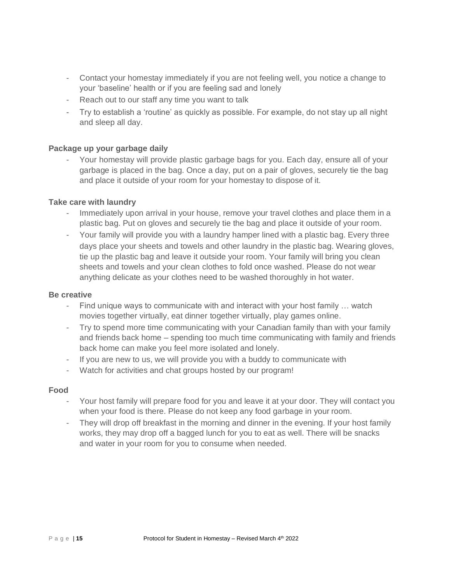- Contact your homestay immediately if you are not feeling well, you notice a change to your 'baseline' health or if you are feeling sad and lonely
- Reach out to our staff any time you want to talk
- Try to establish a 'routine' as quickly as possible. For example, do not stay up all night and sleep all day.

## **Package up your garbage daily**

- Your homestay will provide plastic garbage bags for you. Each day, ensure all of your garbage is placed in the bag. Once a day, put on a pair of gloves, securely tie the bag and place it outside of your room for your homestay to dispose of it.

#### **Take care with laundry**

- Immediately upon arrival in your house, remove your travel clothes and place them in a plastic bag. Put on gloves and securely tie the bag and place it outside of your room.
- Your family will provide you with a laundry hamper lined with a plastic bag. Every three days place your sheets and towels and other laundry in the plastic bag. Wearing gloves, tie up the plastic bag and leave it outside your room. Your family will bring you clean sheets and towels and your clean clothes to fold once washed. Please do not wear anything delicate as your clothes need to be washed thoroughly in hot water.

#### **Be creative**

- Find unique ways to communicate with and interact with your host family … watch movies together virtually, eat dinner together virtually, play games online.
- Try to spend more time communicating with your Canadian family than with your family and friends back home – spending too much time communicating with family and friends back home can make you feel more isolated and lonely.
- If you are new to us, we will provide you with a buddy to communicate with
- Watch for activities and chat groups hosted by our program!

#### **Food**

- Your host family will prepare food for you and leave it at your door. They will contact you when your food is there. Please do not keep any food garbage in your room.
- They will drop off breakfast in the morning and dinner in the evening. If your host family works, they may drop off a bagged lunch for you to eat as well. There will be snacks and water in your room for you to consume when needed.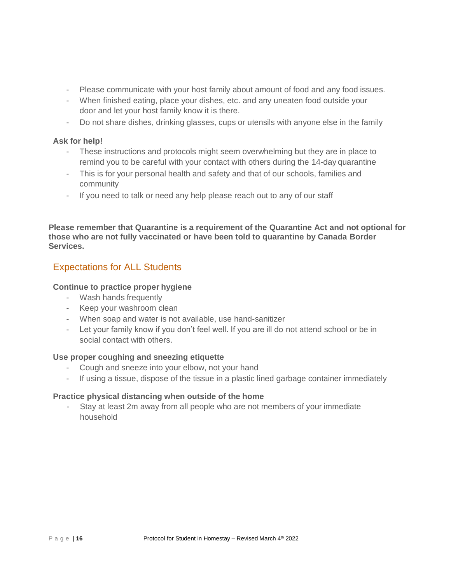- Please communicate with your host family about amount of food and any food issues.
- When finished eating, place your dishes, etc. and any uneaten food outside your door and let your host family know it is there.
- Do not share dishes, drinking glasses, cups or utensils with anyone else in the family

## **Ask for help!**

- These instructions and protocols might seem overwhelming but they are in place to remind you to be careful with your contact with others during the 14-day quarantine
- This is for your personal health and safety and that of our schools, families and community
- If you need to talk or need any help please reach out to any of our staff

**Please remember that Quarantine is a requirement of the Quarantine Act and not optional for those who are not fully vaccinated or have been told to quarantine by Canada Border Services.**

# Expectations for ALL Students

## **Continue to practice proper hygiene**

- Wash hands frequently
- Keep your washroom clean
- When soap and water is not available, use hand-sanitizer
- Let your family know if you don't feel well. If you are ill do not attend school or be in social contact with others.

## **Use proper coughing and sneezing etiquette**

- Cough and sneeze into your elbow, not your hand
- If using a tissue, dispose of the tissue in a plastic lined garbage container immediately

## **Practice physical distancing when outside of the home**

- Stay at least 2m away from all people who are not members of your immediate household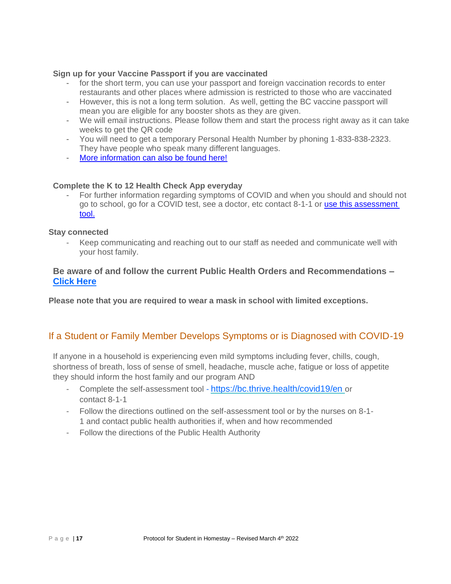## **Sign up for your Vaccine Passport if you are vaccinated**

- for the short term, you can use your passport and foreign vaccination records to enter restaurants and other places where admission is restricted to those who are vaccinated
- However, this is not a long term solution. As well, getting the BC vaccine passport will mean you are eligible for any booster shots as they are given.
- We will email instructions. Please follow them and start the process right away as it can take weeks to get the QR code
- You will need to get a temporary Personal Health Number by phoning 1-833-838-2323. They have people who speak many different languages.
- [More information can also be found here!](https://www2.gov.bc.ca/gov/content/covid-19/vaccine/proof)

#### **Complete the K to 12 Health Check App everyday**

For further information regarding symptoms of COVID and when you should and should not go to school, go for a COVID test, see a doctor, etc contact 8-1-1 or [use this assessment](https://bc.thrive.health/covid19/en)  [tool.](https://bc.thrive.health/covid19/en)

#### **Stay connected**

Keep communicating and reaching out to our staff as needed and communicate well with your host family.

# **Be aware of and follow the current Public Health Orders and Recommendations – [Click Here](https://www2.gov.bc.ca/gov/content/covid-19/info/response)**

**Please note that you are required to wear a mask in school with limited exceptions.**

# If a Student or Family Member Develops Symptoms or is Diagnosed with COVID-19

If anyone in a household is experiencing even mild symptoms including fever, chills, cough, shortness of breath, loss of sense of smell, headache, muscle ache, fatigue or loss of appetite they should inform the host family and our program AND

- Complete the self-assessment tool <https://bc.thrive.health/covid19/en> or contact 8-1-1
- Follow the directions outlined on the self-assessment tool or by the nurses on 8-1- 1 and contact public health authorities if, when and how recommended
- Follow the directions of the Public Health Authority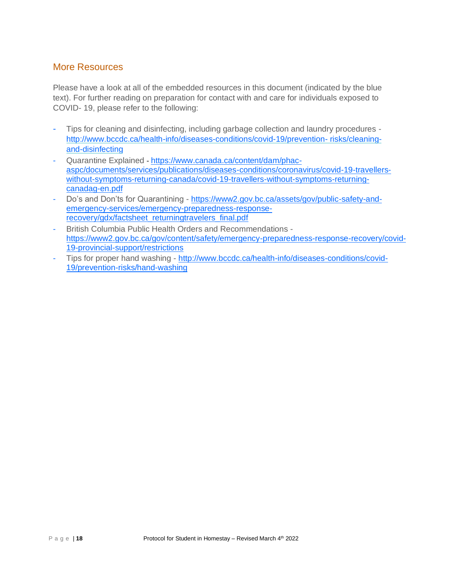# More Resources

Please have a look at all of the embedded resources in this document (indicated by the blue text). For further reading on preparation for contact with and care for individuals exposed to COVID- 19, please refer to the following:

- Tips for cleaning and disinfecting, including garbage collection and laundry procedures <http://www.bccdc.ca/health-info/diseases-conditions/covid-19/prevention-> [risks/cleaning](http://www.bccdc.ca/health-info/diseases-conditions/covid-19/prevention-risks/cleaning-and-disinfecting)[and-disinfecting](http://www.bccdc.ca/health-info/diseases-conditions/covid-19/prevention-risks/cleaning-and-disinfecting)
- Quarantine Explained **-** [https://www.canada.ca/content/dam/phac](https://www.canada.ca/content/dam/phac-aspc/documents/services/publications/diseases-conditions/coronavirus/covid-19-travellers-without-symptoms-returning-canada/covid-19-travellers-without-symptoms-returning-canadag-en.pdf)[aspc/documents/services/publications/diseases-conditions/coronavirus/covid-19-travellers](https://www.canada.ca/content/dam/phac-aspc/documents/services/publications/diseases-conditions/coronavirus/covid-19-travellers-without-symptoms-returning-canada/covid-19-travellers-without-symptoms-returning-canadag-en.pdf)[without-symptoms-returning-canada/covid-19-travellers-without-symptoms-returning](https://www.canada.ca/content/dam/phac-aspc/documents/services/publications/diseases-conditions/coronavirus/covid-19-travellers-without-symptoms-returning-canada/covid-19-travellers-without-symptoms-returning-canadag-en.pdf)[canadag-en.pdf](https://www.canada.ca/content/dam/phac-aspc/documents/services/publications/diseases-conditions/coronavirus/covid-19-travellers-without-symptoms-returning-canada/covid-19-travellers-without-symptoms-returning-canadag-en.pdf)
- Do's and Don'ts for Quarantining [https://www2.gov.bc.ca/assets/gov/public-safety-and](https://www2.gov.bc.ca/assets/gov/public-safety-and-emergency-services/emergency-preparedness-response-recovery/gdx/factsheet_returningtravelers_final.pdf)[emergency-services/emergency-preparedness-response](https://www2.gov.bc.ca/assets/gov/public-safety-and-emergency-services/emergency-preparedness-response-recovery/gdx/factsheet_returningtravelers_final.pdf)[recovery/gdx/factsheet\\_returningtravelers\\_final.pdf](https://www2.gov.bc.ca/assets/gov/public-safety-and-emergency-services/emergency-preparedness-response-recovery/gdx/factsheet_returningtravelers_final.pdf)
- British Columbia Public Health Orders and Recommendations [https://www2.gov.bc.ca/gov/content/safety/emergency-preparedness-response-recovery/covid-](https://www2.gov.bc.ca/gov/content/safety/emergency-preparedness-response-recovery/covid-19-provincial-support/restrictions)[19-provincial-support/restrictions](https://www2.gov.bc.ca/gov/content/safety/emergency-preparedness-response-recovery/covid-19-provincial-support/restrictions)
- Tips for proper hand washing [http://www.bccdc.ca/health-info/diseases-conditions/covid-](http://www.bccdc.ca/health-info/diseases-conditions/covid-19/prevention-risks/hand-washing)[19/prevention-risks/hand-washing](http://www.bccdc.ca/health-info/diseases-conditions/covid-19/prevention-risks/hand-washing)